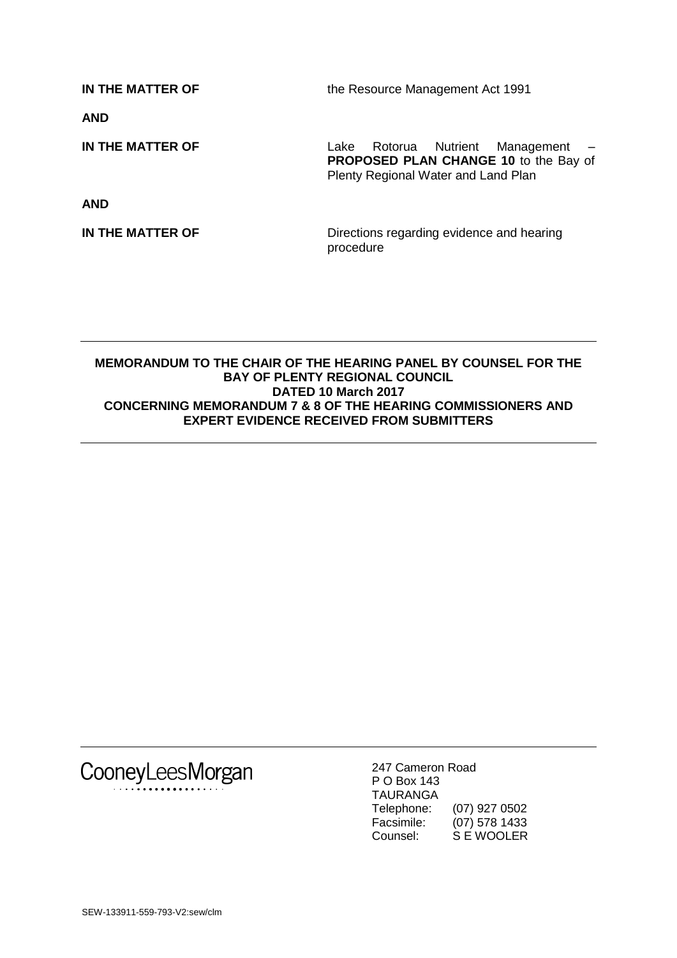**IN THE MATTER OF** the Resource Management Act 1991 **AND IN THE MATTER OF** Lake Rotorua Nutrient Management – **PROPOSED PLAN CHANGE 10** to the Bay of Plenty Regional Water and Land Plan **AND IN THE MATTER OF** Directions regarding evidence and hearing procedure

## **MEMORANDUM TO THE CHAIR OF THE HEARING PANEL BY COUNSEL FOR THE BAY OF PLENTY REGIONAL COUNCIL DATED 10 March 2017 CONCERNING MEMORANDUM 7 & 8 OF THE HEARING COMMISSIONERS AND EXPERT EVIDENCE RECEIVED FROM SUBMITTERS**

CooneyLeesMorgan

247 Cameron Road P O Box 143 TAURANGA Telephone: (07) 927 0502 Facsimile: (07) 578 1433<br>Counsel: S E WOOLER S E WOOLER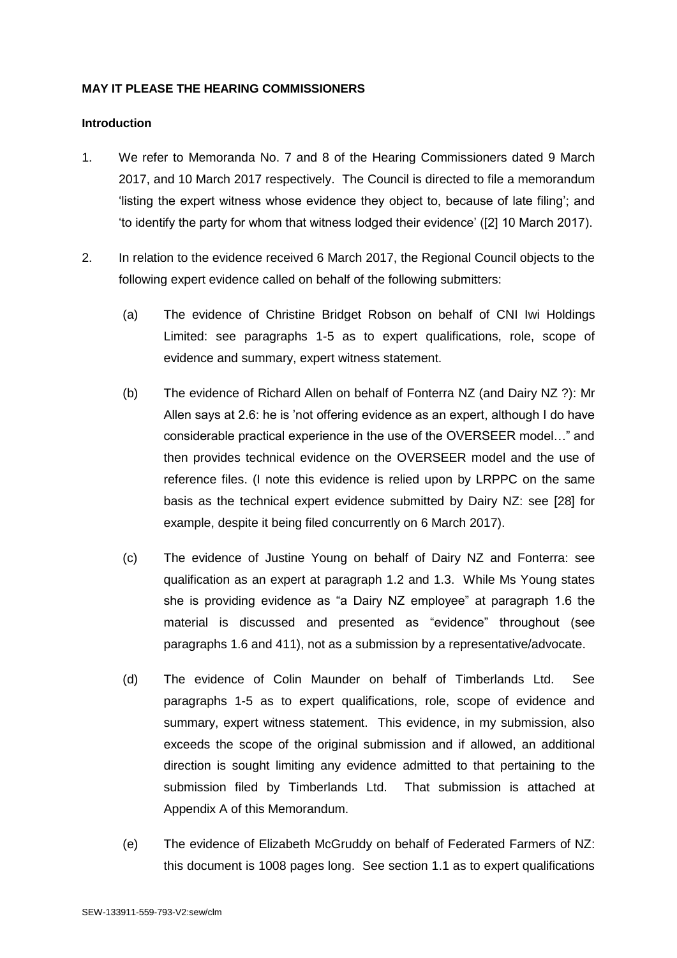## **MAY IT PLEASE THE HEARING COMMISSIONERS**

## **Introduction**

- 1. We refer to Memoranda No. 7 and 8 of the Hearing Commissioners dated 9 March 2017, and 10 March 2017 respectively. The Council is directed to file a memorandum 'listing the expert witness whose evidence they object to, because of late filing'; and 'to identify the party for whom that witness lodged their evidence' ([2] 10 March 2017).
- 2. In relation to the evidence received 6 March 2017, the Regional Council objects to the following expert evidence called on behalf of the following submitters:
	- (a) The evidence of Christine Bridget Robson on behalf of CNI Iwi Holdings Limited: see paragraphs 1-5 as to expert qualifications, role, scope of evidence and summary, expert witness statement.
	- (b) The evidence of Richard Allen on behalf of Fonterra NZ (and Dairy NZ ?): Mr Allen says at 2.6: he is 'not offering evidence as an expert, although I do have considerable practical experience in the use of the OVERSEER model…" and then provides technical evidence on the OVERSEER model and the use of reference files. (I note this evidence is relied upon by LRPPC on the same basis as the technical expert evidence submitted by Dairy NZ: see [28] for example, despite it being filed concurrently on 6 March 2017).
	- (c) The evidence of Justine Young on behalf of Dairy NZ and Fonterra: see qualification as an expert at paragraph 1.2 and 1.3. While Ms Young states she is providing evidence as "a Dairy NZ employee" at paragraph 1.6 the material is discussed and presented as "evidence" throughout (see paragraphs 1.6 and 411), not as a submission by a representative/advocate.
	- (d) The evidence of Colin Maunder on behalf of Timberlands Ltd. See paragraphs 1-5 as to expert qualifications, role, scope of evidence and summary, expert witness statement. This evidence, in my submission, also exceeds the scope of the original submission and if allowed, an additional direction is sought limiting any evidence admitted to that pertaining to the submission filed by Timberlands Ltd. That submission is attached at Appendix A of this Memorandum.
	- (e) The evidence of Elizabeth McGruddy on behalf of Federated Farmers of NZ: this document is 1008 pages long. See section 1.1 as to expert qualifications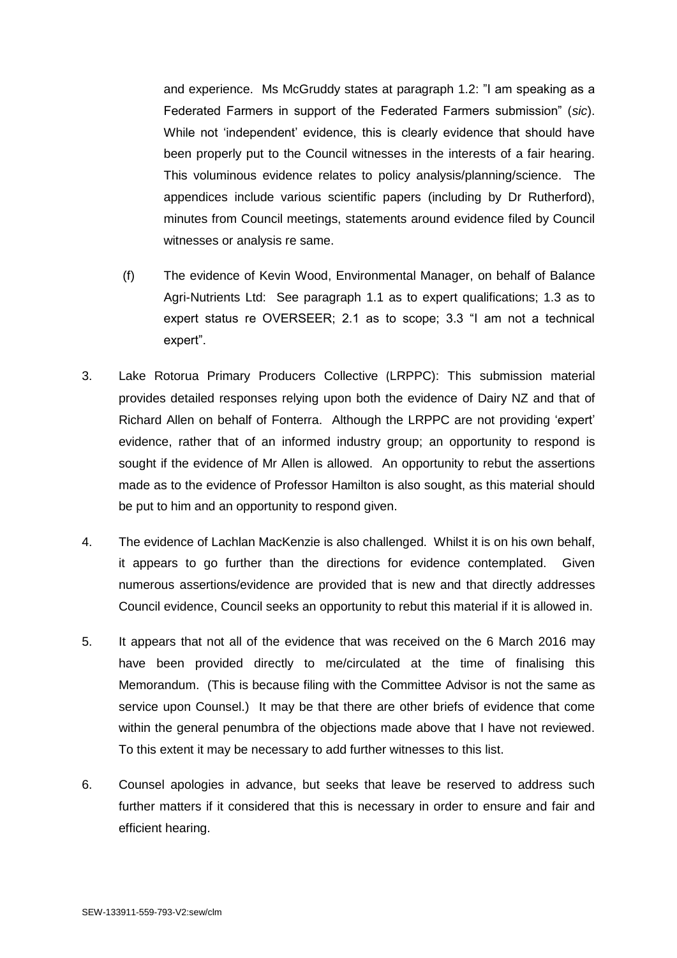and experience. Ms McGruddy states at paragraph 1.2: "I am speaking as a Federated Farmers in support of the Federated Farmers submission" (*sic*). While not 'independent' evidence, this is clearly evidence that should have been properly put to the Council witnesses in the interests of a fair hearing. This voluminous evidence relates to policy analysis/planning/science. The appendices include various scientific papers (including by Dr Rutherford), minutes from Council meetings, statements around evidence filed by Council witnesses or analysis re same.

- (f) The evidence of Kevin Wood, Environmental Manager, on behalf of Balance Agri-Nutrients Ltd: See paragraph 1.1 as to expert qualifications; 1.3 as to expert status re OVERSEER; 2.1 as to scope; 3.3 "I am not a technical expert".
- 3. Lake Rotorua Primary Producers Collective (LRPPC): This submission material provides detailed responses relying upon both the evidence of Dairy NZ and that of Richard Allen on behalf of Fonterra. Although the LRPPC are not providing 'expert' evidence, rather that of an informed industry group; an opportunity to respond is sought if the evidence of Mr Allen is allowed. An opportunity to rebut the assertions made as to the evidence of Professor Hamilton is also sought, as this material should be put to him and an opportunity to respond given.
- 4. The evidence of Lachlan MacKenzie is also challenged. Whilst it is on his own behalf, it appears to go further than the directions for evidence contemplated. Given numerous assertions/evidence are provided that is new and that directly addresses Council evidence, Council seeks an opportunity to rebut this material if it is allowed in.
- 5. It appears that not all of the evidence that was received on the 6 March 2016 may have been provided directly to me/circulated at the time of finalising this Memorandum. (This is because filing with the Committee Advisor is not the same as service upon Counsel.) It may be that there are other briefs of evidence that come within the general penumbra of the objections made above that I have not reviewed. To this extent it may be necessary to add further witnesses to this list.
- 6. Counsel apologies in advance, but seeks that leave be reserved to address such further matters if it considered that this is necessary in order to ensure and fair and efficient hearing.